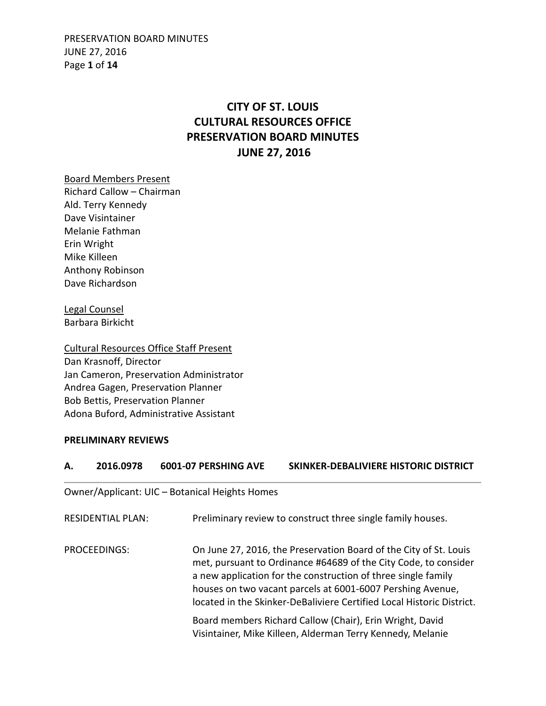PRESERVATION BOARD MINUTES JUNE 27, 2016 Page **1** of **14**

# **CITY OF ST. LOUIS CULTURAL RESOURCES OFFICE PRESERVATION BOARD MINUTES JUNE 27, 2016**

Board Members Present Richard Callow – Chairman Ald. Terry Kennedy Dave Visintainer Melanie Fathman Erin Wright Mike Killeen Anthony Robinson Dave Richardson

Legal Counsel Barbara Birkicht

Cultural Resources Office Staff Present Dan Krasnoff, Director Jan Cameron, Preservation Administrator Andrea Gagen, Preservation Planner Bob Bettis, Preservation Planner Adona Buford, Administrative Assistant

### **PRELIMINARY REVIEWS**

# **A. 2016.0978 6001-07 PERSHING AVE SKINKER-DEBALIVIERE HISTORIC DISTRICT**

Owner/Applicant: UIC – Botanical Heights Homes

| RESIDENTIAL PLAN: | Preliminary review to construct three single family houses.                                                                                                                                                                                                                                                                                  |
|-------------------|----------------------------------------------------------------------------------------------------------------------------------------------------------------------------------------------------------------------------------------------------------------------------------------------------------------------------------------------|
| PROCEEDINGS:      | On June 27, 2016, the Preservation Board of the City of St. Louis<br>met, pursuant to Ordinance #64689 of the City Code, to consider<br>a new application for the construction of three single family<br>houses on two vacant parcels at 6001-6007 Pershing Avenue,<br>located in the Skinker-DeBaliviere Certified Local Historic District. |
|                   | Board members Richard Callow (Chair), Erin Wright, David<br>Visintainer, Mike Killeen, Alderman Terry Kennedy, Melanie                                                                                                                                                                                                                       |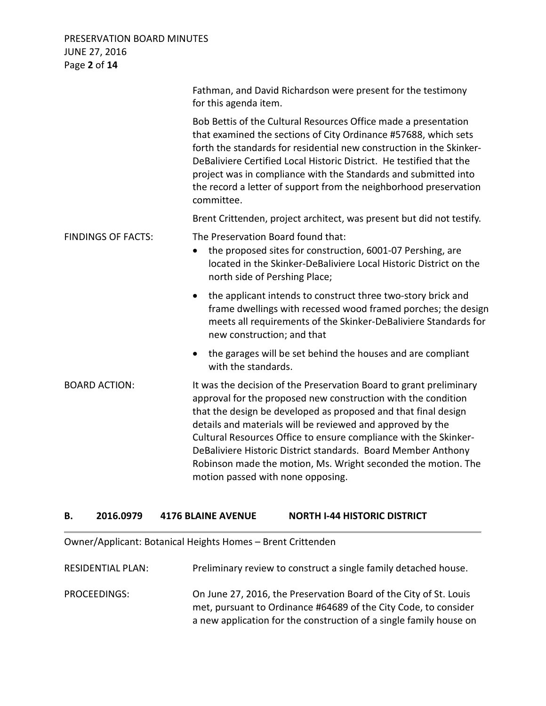PRESERVATION BOARD MINUTES JUNE 27, 2016 Page **2** of **14**

|                           | Fathman, and David Richardson were present for the testimony<br>for this agenda item.                                                                                                                                                                                                                                                                                                                                                                                                                          |
|---------------------------|----------------------------------------------------------------------------------------------------------------------------------------------------------------------------------------------------------------------------------------------------------------------------------------------------------------------------------------------------------------------------------------------------------------------------------------------------------------------------------------------------------------|
|                           | Bob Bettis of the Cultural Resources Office made a presentation<br>that examined the sections of City Ordinance #57688, which sets<br>forth the standards for residential new construction in the Skinker-<br>DeBaliviere Certified Local Historic District. He testified that the<br>project was in compliance with the Standards and submitted into<br>the record a letter of support from the neighborhood preservation<br>committee.                                                                       |
|                           | Brent Crittenden, project architect, was present but did not testify.                                                                                                                                                                                                                                                                                                                                                                                                                                          |
| <b>FINDINGS OF FACTS:</b> | The Preservation Board found that:<br>the proposed sites for construction, 6001-07 Pershing, are<br>located in the Skinker-DeBaliviere Local Historic District on the<br>north side of Pershing Place;                                                                                                                                                                                                                                                                                                         |
|                           | the applicant intends to construct three two-story brick and<br>$\bullet$<br>frame dwellings with recessed wood framed porches; the design<br>meets all requirements of the Skinker-DeBaliviere Standards for<br>new construction; and that                                                                                                                                                                                                                                                                    |
|                           | the garages will be set behind the houses and are compliant<br>with the standards.                                                                                                                                                                                                                                                                                                                                                                                                                             |
| <b>BOARD ACTION:</b>      | It was the decision of the Preservation Board to grant preliminary<br>approval for the proposed new construction with the condition<br>that the design be developed as proposed and that final design<br>details and materials will be reviewed and approved by the<br>Cultural Resources Office to ensure compliance with the Skinker-<br>DeBaliviere Historic District standards. Board Member Anthony<br>Robinson made the motion, Ms. Wright seconded the motion. The<br>motion passed with none opposing. |

### **B. 2016.0979 4176 BLAINE AVENUE NORTH I-44 HISTORIC DISTRICT**

Owner/Applicant: Botanical Heights Homes – Brent Crittenden

RESIDENTIAL PLAN: Preliminary review to construct a single family detached house. PROCEEDINGS: On June 27, 2016, the Preservation Board of the City of St. Louis met, pursuant to Ordinance #64689 of the City Code, to consider a new application for the construction of a single family house on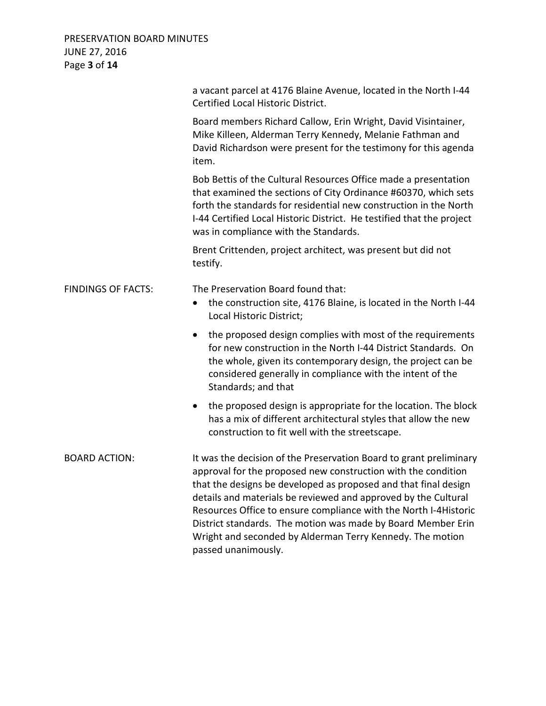| PRESERVATION BOARD MINUTES<br><b>JUNE 27, 2016</b><br>Page 3 of 14 |                                                                                                                                                                                                                                                                                                                                                                                                                                                                                                  |
|--------------------------------------------------------------------|--------------------------------------------------------------------------------------------------------------------------------------------------------------------------------------------------------------------------------------------------------------------------------------------------------------------------------------------------------------------------------------------------------------------------------------------------------------------------------------------------|
|                                                                    | a vacant parcel at 4176 Blaine Avenue, located in the North I-44<br>Certified Local Historic District.                                                                                                                                                                                                                                                                                                                                                                                           |
|                                                                    | Board members Richard Callow, Erin Wright, David Visintainer,<br>Mike Killeen, Alderman Terry Kennedy, Melanie Fathman and<br>David Richardson were present for the testimony for this agenda<br>item.                                                                                                                                                                                                                                                                                           |
|                                                                    | Bob Bettis of the Cultural Resources Office made a presentation<br>that examined the sections of City Ordinance #60370, which sets<br>forth the standards for residential new construction in the North<br>I-44 Certified Local Historic District. He testified that the project<br>was in compliance with the Standards.                                                                                                                                                                        |
|                                                                    | Brent Crittenden, project architect, was present but did not<br>testify.                                                                                                                                                                                                                                                                                                                                                                                                                         |
| <b>FINDINGS OF FACTS:</b>                                          | The Preservation Board found that:<br>the construction site, 4176 Blaine, is located in the North I-44<br>$\bullet$<br>Local Historic District;                                                                                                                                                                                                                                                                                                                                                  |
|                                                                    | the proposed design complies with most of the requirements<br>$\bullet$<br>for new construction in the North I-44 District Standards. On<br>the whole, given its contemporary design, the project can be<br>considered generally in compliance with the intent of the<br>Standards; and that                                                                                                                                                                                                     |
|                                                                    | the proposed design is appropriate for the location. The block<br>$\bullet$<br>has a mix of different architectural styles that allow the new<br>construction to fit well with the streetscape.                                                                                                                                                                                                                                                                                                  |
| <b>BOARD ACTION:</b>                                               | It was the decision of the Preservation Board to grant preliminary<br>approval for the proposed new construction with the condition<br>that the designs be developed as proposed and that final design<br>details and materials be reviewed and approved by the Cultural<br>Resources Office to ensure compliance with the North I-4Historic<br>District standards. The motion was made by Board Member Erin<br>Wright and seconded by Alderman Terry Kennedy. The motion<br>passed unanimously. |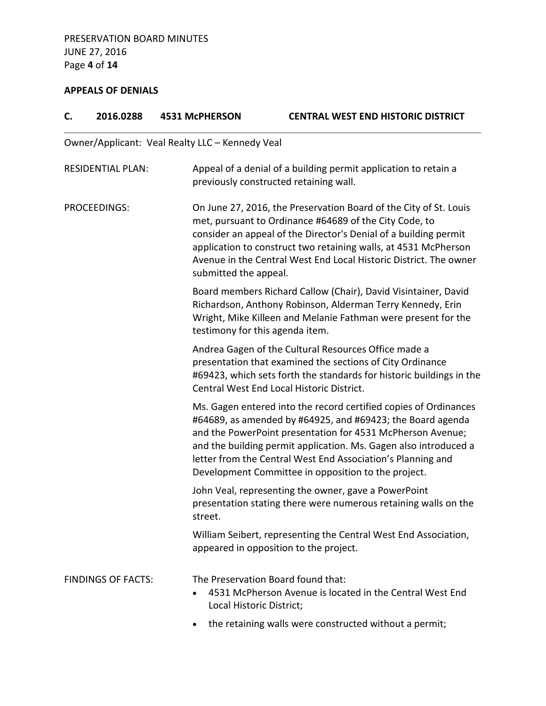# **APPEALS OF DENIALS**

| C.                        | 2016.0288                | <b>4531 McPHERSON</b>                                                                                                                                                                                                                                                                                                                                                                  | <b>CENTRAL WEST END HISTORIC DISTRICT</b>                                                                                                                                                                                                                                                                                               |
|---------------------------|--------------------------|----------------------------------------------------------------------------------------------------------------------------------------------------------------------------------------------------------------------------------------------------------------------------------------------------------------------------------------------------------------------------------------|-----------------------------------------------------------------------------------------------------------------------------------------------------------------------------------------------------------------------------------------------------------------------------------------------------------------------------------------|
|                           |                          | Owner/Applicant: Veal Realty LLC - Kennedy Veal                                                                                                                                                                                                                                                                                                                                        |                                                                                                                                                                                                                                                                                                                                         |
|                           | <b>RESIDENTIAL PLAN:</b> |                                                                                                                                                                                                                                                                                                                                                                                        | Appeal of a denial of a building permit application to retain a<br>previously constructed retaining wall.                                                                                                                                                                                                                               |
| <b>PROCEEDINGS:</b>       |                          | submitted the appeal.                                                                                                                                                                                                                                                                                                                                                                  | On June 27, 2016, the Preservation Board of the City of St. Louis<br>met, pursuant to Ordinance #64689 of the City Code, to<br>consider an appeal of the Director's Denial of a building permit<br>application to construct two retaining walls, at 4531 McPherson<br>Avenue in the Central West End Local Historic District. The owner |
|                           |                          | testimony for this agenda item.                                                                                                                                                                                                                                                                                                                                                        | Board members Richard Callow (Chair), David Visintainer, David<br>Richardson, Anthony Robinson, Alderman Terry Kennedy, Erin<br>Wright, Mike Killeen and Melanie Fathman were present for the                                                                                                                                           |
|                           |                          |                                                                                                                                                                                                                                                                                                                                                                                        | Andrea Gagen of the Cultural Resources Office made a<br>presentation that examined the sections of City Ordinance<br>#69423, which sets forth the standards for historic buildings in the<br>Central West End Local Historic District.                                                                                                  |
|                           |                          | Ms. Gagen entered into the record certified copies of Ordinances<br>#64689, as amended by #64925, and #69423; the Board agenda<br>and the PowerPoint presentation for 4531 McPherson Avenue;<br>and the building permit application. Ms. Gagen also introduced a<br>letter from the Central West End Association's Planning and<br>Development Committee in opposition to the project. |                                                                                                                                                                                                                                                                                                                                         |
|                           |                          | street.                                                                                                                                                                                                                                                                                                                                                                                | John Veal, representing the owner, gave a PowerPoint<br>presentation stating there were numerous retaining walls on the                                                                                                                                                                                                                 |
|                           |                          |                                                                                                                                                                                                                                                                                                                                                                                        | William Seibert, representing the Central West End Association,<br>appeared in opposition to the project.                                                                                                                                                                                                                               |
| <b>FINDINGS OF FACTS:</b> | Local Historic District; | The Preservation Board found that:<br>4531 McPherson Avenue is located in the Central West End                                                                                                                                                                                                                                                                                         |                                                                                                                                                                                                                                                                                                                                         |
|                           |                          |                                                                                                                                                                                                                                                                                                                                                                                        | the retaining walls were constructed without a permit;                                                                                                                                                                                                                                                                                  |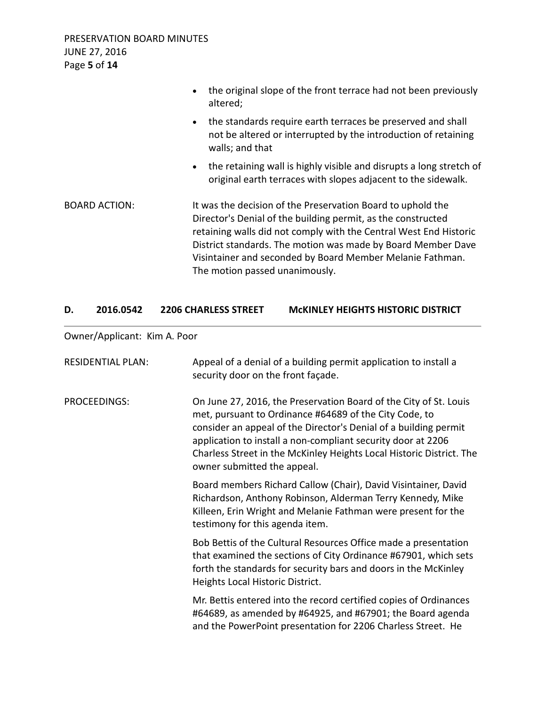|                      | the original slope of the front terrace had not been previously<br>$\bullet$<br>altered;                                                                                                                                                                                                                                                                        |
|----------------------|-----------------------------------------------------------------------------------------------------------------------------------------------------------------------------------------------------------------------------------------------------------------------------------------------------------------------------------------------------------------|
|                      | the standards require earth terraces be preserved and shall<br>$\bullet$<br>not be altered or interrupted by the introduction of retaining<br>walls; and that                                                                                                                                                                                                   |
|                      | the retaining wall is highly visible and disrupts a long stretch of<br>$\bullet$<br>original earth terraces with slopes adjacent to the sidewalk.                                                                                                                                                                                                               |
| <b>BOARD ACTION:</b> | It was the decision of the Preservation Board to uphold the<br>Director's Denial of the building permit, as the constructed<br>retaining walls did not comply with the Central West End Historic<br>District standards. The motion was made by Board Member Dave<br>Visintainer and seconded by Board Member Melanie Fathman.<br>The motion passed unanimously. |

### **D. 2016.0542 2206 CHARLESS STREET McKINLEY HEIGHTS HISTORIC DISTRICT**

Owner/Applicant: Kim A. Poor

| <b>RESIDENTIAL PLAN:</b> | Appeal of a denial of a building permit application to install a<br>security door on the front façade.                                                                                                                                                                                                                                                                 |
|--------------------------|------------------------------------------------------------------------------------------------------------------------------------------------------------------------------------------------------------------------------------------------------------------------------------------------------------------------------------------------------------------------|
| PROCEEDINGS:             | On June 27, 2016, the Preservation Board of the City of St. Louis<br>met, pursuant to Ordinance #64689 of the City Code, to<br>consider an appeal of the Director's Denial of a building permit<br>application to install a non-compliant security door at 2206<br>Charless Street in the McKinley Heights Local Historic District. The<br>owner submitted the appeal. |
|                          | Board members Richard Callow (Chair), David Visintainer, David<br>Richardson, Anthony Robinson, Alderman Terry Kennedy, Mike<br>Killeen, Erin Wright and Melanie Fathman were present for the<br>testimony for this agenda item.                                                                                                                                       |
|                          | Bob Bettis of the Cultural Resources Office made a presentation<br>that examined the sections of City Ordinance #67901, which sets<br>forth the standards for security bars and doors in the McKinley<br>Heights Local Historic District.                                                                                                                              |
|                          | Mr. Bettis entered into the record certified copies of Ordinances<br>#64689, as amended by #64925, and #67901; the Board agenda<br>and the PowerPoint presentation for 2206 Charless Street. He                                                                                                                                                                        |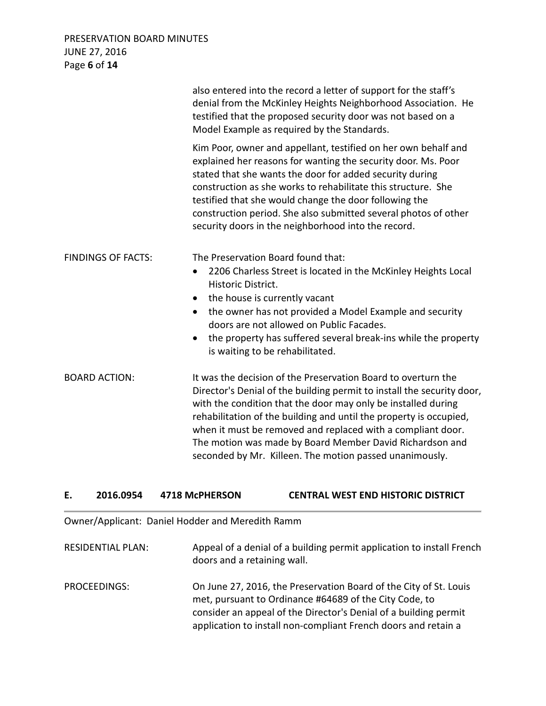### PRESERVATION BOARD MINUTES JUNE 27, 2016 Page **6** of **14**

|                           | also entered into the record a letter of support for the staff's<br>denial from the McKinley Heights Neighborhood Association. He<br>testified that the proposed security door was not based on a<br>Model Example as required by the Standards.                                                                                                                                                                                                                     |
|---------------------------|----------------------------------------------------------------------------------------------------------------------------------------------------------------------------------------------------------------------------------------------------------------------------------------------------------------------------------------------------------------------------------------------------------------------------------------------------------------------|
|                           | Kim Poor, owner and appellant, testified on her own behalf and<br>explained her reasons for wanting the security door. Ms. Poor<br>stated that she wants the door for added security during<br>construction as she works to rehabilitate this structure. She<br>testified that she would change the door following the<br>construction period. She also submitted several photos of other<br>security doors in the neighborhood into the record.                     |
| <b>FINDINGS OF FACTS:</b> | The Preservation Board found that:<br>2206 Charless Street is located in the McKinley Heights Local<br>$\bullet$<br>Historic District.<br>the house is currently vacant<br>the owner has not provided a Model Example and security<br>$\bullet$<br>doors are not allowed on Public Facades.<br>the property has suffered several break-ins while the property<br>is waiting to be rehabilitated.                                                                     |
| <b>BOARD ACTION:</b>      | It was the decision of the Preservation Board to overturn the<br>Director's Denial of the building permit to install the security door,<br>with the condition that the door may only be installed during<br>rehabilitation of the building and until the property is occupied,<br>when it must be removed and replaced with a compliant door.<br>The motion was made by Board Member David Richardson and<br>seconded by Mr. Killeen. The motion passed unanimously. |

### **E. 2016.0954 4718 McPHERSON CENTRAL WEST END HISTORIC DISTRICT**

Owner/Applicant: Daniel Hodder and Meredith Ramm

RESIDENTIAL PLAN: Appeal of a denial of a building permit application to install French doors and a retaining wall.

PROCEEDINGS: On June 27, 2016, the Preservation Board of the City of St. Louis met, pursuant to Ordinance #64689 of the City Code, to consider an appeal of the Director's Denial of a building permit application to install non-compliant French doors and retain a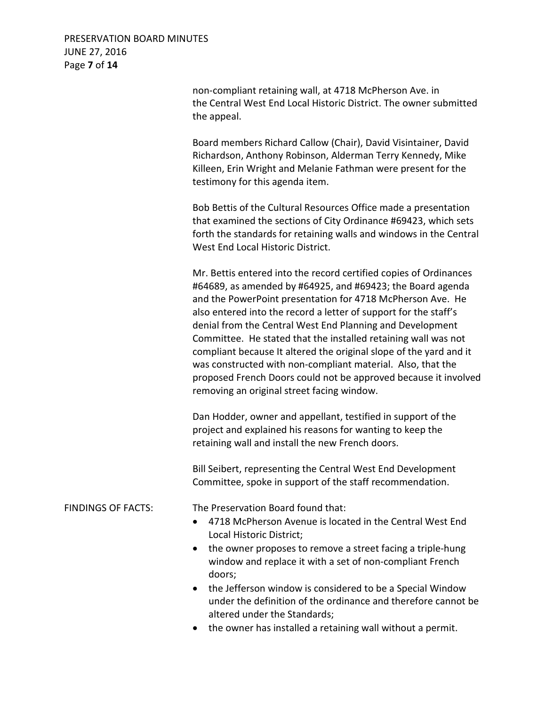PRESERVATION BOARD MINUTES JUNE 27, 2016 Page **7** of **14**

> non-compliant retaining wall, at 4718 McPherson Ave. in the Central West End Local Historic District. The owner submitted the appeal.

 Board members Richard Callow (Chair), David Visintainer, David Richardson, Anthony Robinson, Alderman Terry Kennedy, Mike Killeen, Erin Wright and Melanie Fathman were present for the testimony for this agenda item.

 Bob Bettis of the Cultural Resources Office made a presentation that examined the sections of City Ordinance #69423, which sets forth the standards for retaining walls and windows in the Central West End Local Historic District.

 Mr. Bettis entered into the record certified copies of Ordinances #64689, as amended by #64925, and #69423; the Board agenda and the PowerPoint presentation for 4718 McPherson Ave. He also entered into the record a letter of support for the staff's denial from the Central West End Planning and Development Committee. He stated that the installed retaining wall was not compliant because It altered the original slope of the yard and it was constructed with non-compliant material. Also, that the proposed French Doors could not be approved because it involved removing an original street facing window.

 Dan Hodder, owner and appellant, testified in support of the project and explained his reasons for wanting to keep the retaining wall and install the new French doors.

 Bill Seibert, representing the Central West End Development Committee, spoke in support of the staff recommendation.

FINDINGS OF FACTS: The Preservation Board found that:

- 4718 McPherson Avenue is located in the Central West End Local Historic District;
- the owner proposes to remove a street facing a triple-hung window and replace it with a set of non-compliant French doors;
- the Jefferson window is considered to be a Special Window under the definition of the ordinance and therefore cannot be altered under the Standards;
- the owner has installed a retaining wall without a permit.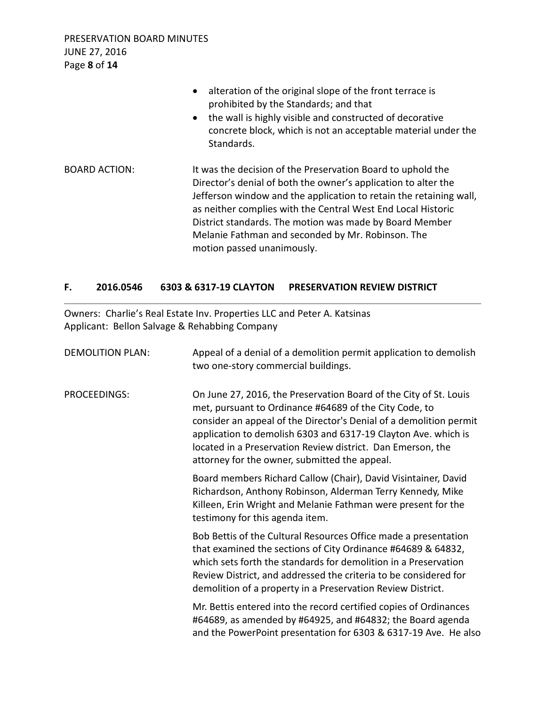PRESERVATION BOARD MINUTES JUNE 27, 2016 Page **8** of **14**

|                      | alteration of the original slope of the front terrace is<br>$\bullet$<br>prohibited by the Standards; and that<br>the wall is highly visible and constructed of decorative<br>$\bullet$<br>concrete block, which is not an acceptable material under the<br>Standards.                                                                                                                                            |
|----------------------|-------------------------------------------------------------------------------------------------------------------------------------------------------------------------------------------------------------------------------------------------------------------------------------------------------------------------------------------------------------------------------------------------------------------|
| <b>BOARD ACTION:</b> | It was the decision of the Preservation Board to uphold the<br>Director's denial of both the owner's application to alter the<br>Jefferson window and the application to retain the retaining wall,<br>as neither complies with the Central West End Local Historic<br>District standards. The motion was made by Board Member<br>Melanie Fathman and seconded by Mr. Robinson. The<br>motion passed unanimously. |

## **F. 2016.0546 6303 & 6317-19 CLAYTON PRESERVATION REVIEW DISTRICT**

Owners: Charlie's Real Estate Inv. Properties LLC and Peter A. Katsinas Applicant: Bellon Salvage & Rehabbing Company

| <b>DEMOLITION PLAN:</b> | Appeal of a denial of a demolition permit application to demolish<br>two one-story commercial buildings.                                                                                                                                                                                                                                                                            |
|-------------------------|-------------------------------------------------------------------------------------------------------------------------------------------------------------------------------------------------------------------------------------------------------------------------------------------------------------------------------------------------------------------------------------|
| PROCEEDINGS:            | On June 27, 2016, the Preservation Board of the City of St. Louis<br>met, pursuant to Ordinance #64689 of the City Code, to<br>consider an appeal of the Director's Denial of a demolition permit<br>application to demolish 6303 and 6317-19 Clayton Ave. which is<br>located in a Preservation Review district. Dan Emerson, the<br>attorney for the owner, submitted the appeal. |
|                         | Board members Richard Callow (Chair), David Visintainer, David<br>Richardson, Anthony Robinson, Alderman Terry Kennedy, Mike<br>Killeen, Erin Wright and Melanie Fathman were present for the<br>testimony for this agenda item.                                                                                                                                                    |
|                         | Bob Bettis of the Cultural Resources Office made a presentation<br>that examined the sections of City Ordinance #64689 & 64832,<br>which sets forth the standards for demolition in a Preservation<br>Review District, and addressed the criteria to be considered for<br>demolition of a property in a Preservation Review District.                                               |
|                         | Mr. Bettis entered into the record certified copies of Ordinances<br>#64689, as amended by #64925, and #64832; the Board agenda<br>and the PowerPoint presentation for 6303 & 6317-19 Ave. He also                                                                                                                                                                                  |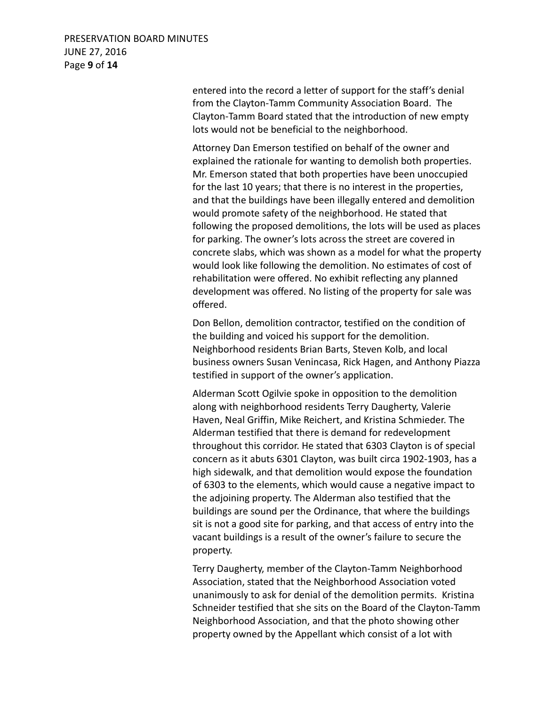### PRESERVATION BOARD MINUTES JUNE 27, 2016 Page **9** of **14**

 entered into the record a letter of support for the staff's denial from the Clayton-Tamm Community Association Board. The Clayton-Tamm Board stated that the introduction of new empty lots would not be beneficial to the neighborhood.

 Attorney Dan Emerson testified on behalf of the owner and explained the rationale for wanting to demolish both properties. Mr. Emerson stated that both properties have been unoccupied for the last 10 years; that there is no interest in the properties, and that the buildings have been illegally entered and demolition would promote safety of the neighborhood. He stated that following the proposed demolitions, the lots will be used as places for parking. The owner's lots across the street are covered in concrete slabs, which was shown as a model for what the property would look like following the demolition. No estimates of cost of rehabilitation were offered. No exhibit reflecting any planned development was offered. No listing of the property for sale was offered.

 Don Bellon, demolition contractor, testified on the condition of the building and voiced his support for the demolition. Neighborhood residents Brian Barts, Steven Kolb, and local business owners Susan Venincasa, Rick Hagen, and Anthony Piazza testified in support of the owner's application.

 Alderman Scott Ogilvie spoke in opposition to the demolition along with neighborhood residents Terry Daugherty, Valerie Haven, Neal Griffin, Mike Reichert, and Kristina Schmieder. The Alderman testified that there is demand for redevelopment throughout this corridor. He stated that 6303 Clayton is of special concern as it abuts 6301 Clayton, was built circa 1902-1903, has a high sidewalk, and that demolition would expose the foundation of 6303 to the elements, which would cause a negative impact to the adjoining property. The Alderman also testified that the buildings are sound per the Ordinance, that where the buildings sit is not a good site for parking, and that access of entry into the vacant buildings is a result of the owner's failure to secure the property.

 Terry Daugherty, member of the Clayton-Tamm Neighborhood Association, stated that the Neighborhood Association voted unanimously to ask for denial of the demolition permits. Kristina Schneider testified that she sits on the Board of the Clayton-Tamm Neighborhood Association, and that the photo showing other property owned by the Appellant which consist of a lot with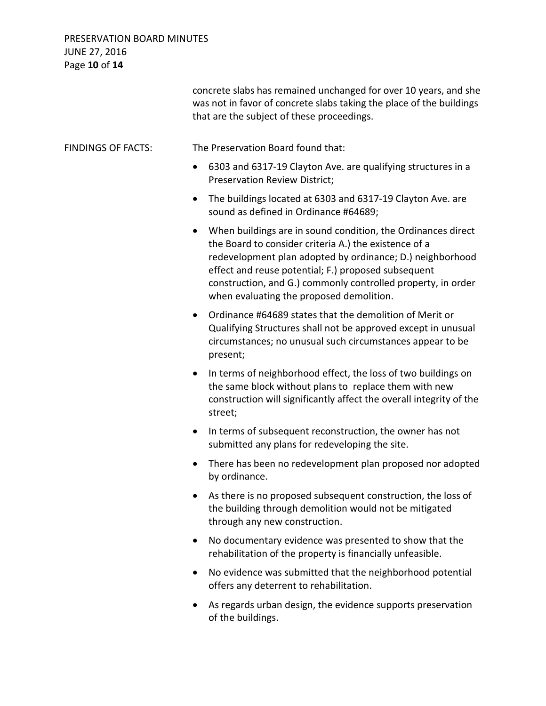# PRESERVATION BOARD MINUTES JUNE 27, 2016 Page **10** of **14**

|                           | concrete slabs has remained unchanged for over 10 years, and she<br>was not in favor of concrete slabs taking the place of the buildings<br>that are the subject of these proceedings.                                                                                                                                                                             |
|---------------------------|--------------------------------------------------------------------------------------------------------------------------------------------------------------------------------------------------------------------------------------------------------------------------------------------------------------------------------------------------------------------|
| <b>FINDINGS OF FACTS:</b> | The Preservation Board found that:                                                                                                                                                                                                                                                                                                                                 |
|                           | 6303 and 6317-19 Clayton Ave. are qualifying structures in a<br>$\bullet$<br><b>Preservation Review District;</b>                                                                                                                                                                                                                                                  |
|                           | The buildings located at 6303 and 6317-19 Clayton Ave. are<br>$\bullet$<br>sound as defined in Ordinance #64689;                                                                                                                                                                                                                                                   |
|                           | When buildings are in sound condition, the Ordinances direct<br>$\bullet$<br>the Board to consider criteria A.) the existence of a<br>redevelopment plan adopted by ordinance; D.) neighborhood<br>effect and reuse potential; F.) proposed subsequent<br>construction, and G.) commonly controlled property, in order<br>when evaluating the proposed demolition. |
|                           | Ordinance #64689 states that the demolition of Merit or<br>$\bullet$<br>Qualifying Structures shall not be approved except in unusual<br>circumstances; no unusual such circumstances appear to be<br>present;                                                                                                                                                     |
|                           | In terms of neighborhood effect, the loss of two buildings on<br>$\bullet$<br>the same block without plans to replace them with new<br>construction will significantly affect the overall integrity of the<br>street;                                                                                                                                              |
|                           | In terms of subsequent reconstruction, the owner has not<br>$\bullet$<br>submitted any plans for redeveloping the site.                                                                                                                                                                                                                                            |
|                           | There has been no redevelopment plan proposed nor adopted<br>by ordinance.                                                                                                                                                                                                                                                                                         |
|                           | As there is no proposed subsequent construction, the loss of<br>the building through demolition would not be mitigated<br>through any new construction.                                                                                                                                                                                                            |
|                           | No documentary evidence was presented to show that the<br>٠<br>rehabilitation of the property is financially unfeasible.                                                                                                                                                                                                                                           |
|                           | No evidence was submitted that the neighborhood potential<br>$\bullet$<br>offers any deterrent to rehabilitation.                                                                                                                                                                                                                                                  |
|                           | As regards urban design, the evidence supports preservation<br>of the buildings.                                                                                                                                                                                                                                                                                   |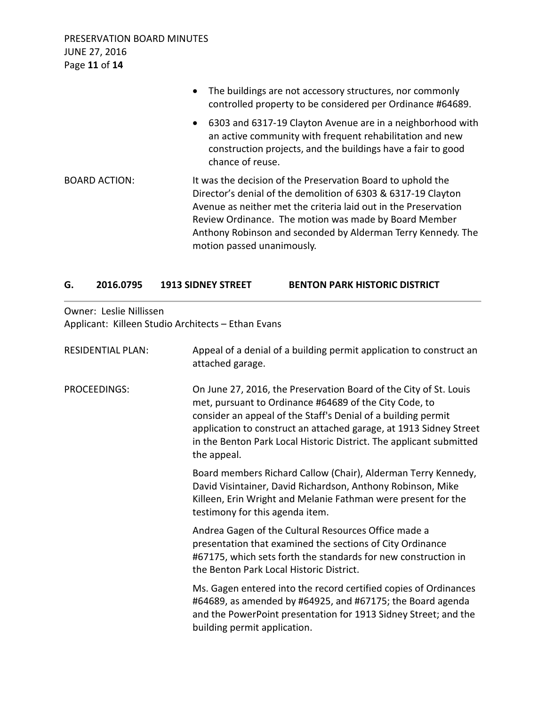|                      | The buildings are not accessory structures, nor commonly<br>$\bullet$<br>controlled property to be considered per Ordinance #64689.                                                                                                                                                                                                                    |
|----------------------|--------------------------------------------------------------------------------------------------------------------------------------------------------------------------------------------------------------------------------------------------------------------------------------------------------------------------------------------------------|
|                      | 6303 and 6317-19 Clayton Avenue are in a neighborhood with<br>$\bullet$<br>an active community with frequent rehabilitation and new<br>construction projects, and the buildings have a fair to good<br>chance of reuse.                                                                                                                                |
| <b>BOARD ACTION:</b> | It was the decision of the Preservation Board to uphold the<br>Director's denial of the demolition of 6303 & 6317-19 Clayton<br>Avenue as neither met the criteria laid out in the Preservation<br>Review Ordinance. The motion was made by Board Member<br>Anthony Robinson and seconded by Alderman Terry Kennedy. The<br>motion passed unanimously. |

### **G. 2016.0795 1913 SIDNEY STREET BENTON PARK HISTORIC DISTRICT**

Owner: Leslie Nillissen

Applicant: Killeen Studio Architects – Ethan Evans

| <b>RESIDENTIAL PLAN:</b> | Appeal of a denial of a building permit application to construct an<br>attached garage.                                                                                                                                                                                                                                                                  |
|--------------------------|----------------------------------------------------------------------------------------------------------------------------------------------------------------------------------------------------------------------------------------------------------------------------------------------------------------------------------------------------------|
| PROCEEDINGS:             | On June 27, 2016, the Preservation Board of the City of St. Louis<br>met, pursuant to Ordinance #64689 of the City Code, to<br>consider an appeal of the Staff's Denial of a building permit<br>application to construct an attached garage, at 1913 Sidney Street<br>in the Benton Park Local Historic District. The applicant submitted<br>the appeal. |
|                          | Board members Richard Callow (Chair), Alderman Terry Kennedy,<br>David Visintainer, David Richardson, Anthony Robinson, Mike<br>Killeen, Erin Wright and Melanie Fathman were present for the<br>testimony for this agenda item.                                                                                                                         |
|                          | Andrea Gagen of the Cultural Resources Office made a<br>presentation that examined the sections of City Ordinance<br>#67175, which sets forth the standards for new construction in<br>the Benton Park Local Historic District.                                                                                                                          |
|                          | Ms. Gagen entered into the record certified copies of Ordinances<br>#64689, as amended by #64925, and #67175; the Board agenda<br>and the PowerPoint presentation for 1913 Sidney Street; and the<br>building permit application.                                                                                                                        |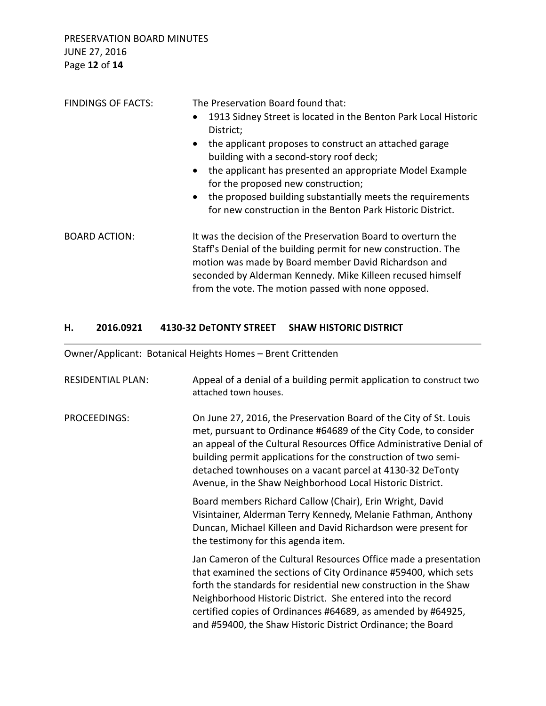| <b>FINDINGS OF FACTS:</b> | The Preservation Board found that:                                                                                                                                                                                                                                                                            |
|---------------------------|---------------------------------------------------------------------------------------------------------------------------------------------------------------------------------------------------------------------------------------------------------------------------------------------------------------|
|                           | 1913 Sidney Street is located in the Benton Park Local Historic<br>$\bullet$<br>District;                                                                                                                                                                                                                     |
|                           | the applicant proposes to construct an attached garage<br>$\bullet$<br>building with a second-story roof deck;                                                                                                                                                                                                |
|                           | the applicant has presented an appropriate Model Example<br>$\bullet$<br>for the proposed new construction;                                                                                                                                                                                                   |
|                           | the proposed building substantially meets the requirements<br>$\bullet$<br>for new construction in the Benton Park Historic District.                                                                                                                                                                         |
| <b>BOARD ACTION:</b>      | It was the decision of the Preservation Board to overturn the<br>Staff's Denial of the building permit for new construction. The<br>motion was made by Board member David Richardson and<br>seconded by Alderman Kennedy. Mike Killeen recused himself<br>from the vote. The motion passed with none opposed. |

# **H. 2016.0921 4130-32 DeTONTY STREET SHAW HISTORIC DISTRICT**

Owner/Applicant: Botanical Heights Homes – Brent Crittenden

| <b>RESIDENTIAL PLAN:</b> | Appeal of a denial of a building permit application to construct two<br>attached town houses.                                                                                                                                                                                                                                                                                                           |
|--------------------------|---------------------------------------------------------------------------------------------------------------------------------------------------------------------------------------------------------------------------------------------------------------------------------------------------------------------------------------------------------------------------------------------------------|
| <b>PROCEEDINGS:</b>      | On June 27, 2016, the Preservation Board of the City of St. Louis<br>met, pursuant to Ordinance #64689 of the City Code, to consider<br>an appeal of the Cultural Resources Office Administrative Denial of<br>building permit applications for the construction of two semi-<br>detached townhouses on a vacant parcel at 4130-32 DeTonty<br>Avenue, in the Shaw Neighborhood Local Historic District. |
|                          | Board members Richard Callow (Chair), Erin Wright, David<br>Visintainer, Alderman Terry Kennedy, Melanie Fathman, Anthony<br>Duncan, Michael Killeen and David Richardson were present for<br>the testimony for this agenda item.                                                                                                                                                                       |
|                          | Jan Cameron of the Cultural Resources Office made a presentation<br>that examined the sections of City Ordinance #59400, which sets<br>forth the standards for residential new construction in the Shaw<br>Neighborhood Historic District. She entered into the record<br>certified copies of Ordinances #64689, as amended by #64925,<br>and #59400, the Shaw Historic District Ordinance; the Board   |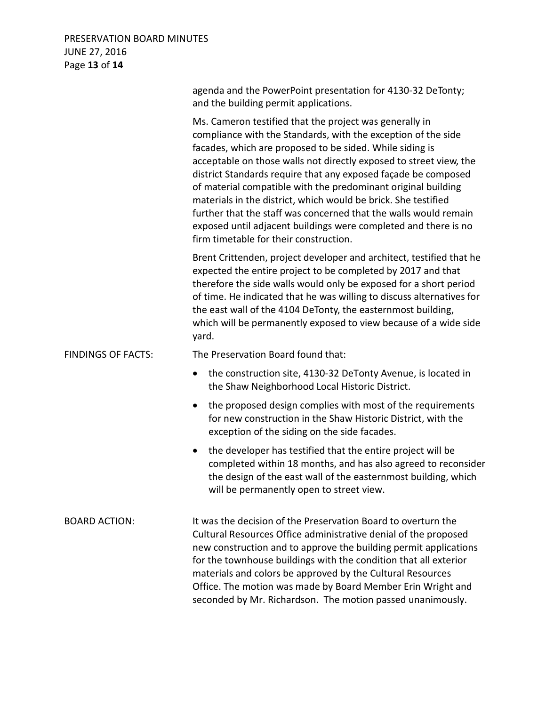## PRESERVATION BOARD MINUTES JUNE 27, 2016 Page **13** of **14**

|                           | agenda and the PowerPoint presentation for 4130-32 DeTonty;<br>and the building permit applications.                                                                                                                                                                                                                                                                                                                                                                                                                                                                                                                                             |
|---------------------------|--------------------------------------------------------------------------------------------------------------------------------------------------------------------------------------------------------------------------------------------------------------------------------------------------------------------------------------------------------------------------------------------------------------------------------------------------------------------------------------------------------------------------------------------------------------------------------------------------------------------------------------------------|
|                           | Ms. Cameron testified that the project was generally in<br>compliance with the Standards, with the exception of the side<br>facades, which are proposed to be sided. While siding is<br>acceptable on those walls not directly exposed to street view, the<br>district Standards require that any exposed façade be composed<br>of material compatible with the predominant original building<br>materials in the district, which would be brick. She testified<br>further that the staff was concerned that the walls would remain<br>exposed until adjacent buildings were completed and there is no<br>firm timetable for their construction. |
|                           | Brent Crittenden, project developer and architect, testified that he<br>expected the entire project to be completed by 2017 and that<br>therefore the side walls would only be exposed for a short period<br>of time. He indicated that he was willing to discuss alternatives for<br>the east wall of the 4104 DeTonty, the easternmost building,<br>which will be permanently exposed to view because of a wide side<br>yard.                                                                                                                                                                                                                  |
| <b>FINDINGS OF FACTS:</b> | The Preservation Board found that:                                                                                                                                                                                                                                                                                                                                                                                                                                                                                                                                                                                                               |
|                           | the construction site, 4130-32 DeTonty Avenue, is located in<br>the Shaw Neighborhood Local Historic District.                                                                                                                                                                                                                                                                                                                                                                                                                                                                                                                                   |
|                           | the proposed design complies with most of the requirements<br>for new construction in the Shaw Historic District, with the<br>exception of the siding on the side facades.                                                                                                                                                                                                                                                                                                                                                                                                                                                                       |
|                           | the developer has testified that the entire project will be<br>$\bullet$<br>completed within 18 months, and has also agreed to reconsider<br>the design of the east wall of the easternmost building, which<br>will be permanently open to street view.                                                                                                                                                                                                                                                                                                                                                                                          |
| <b>BOARD ACTION:</b>      | It was the decision of the Preservation Board to overturn the<br>Cultural Resources Office administrative denial of the proposed<br>new construction and to approve the building permit applications<br>for the townhouse buildings with the condition that all exterior<br>materials and colors be approved by the Cultural Resources<br>Office. The motion was made by Board Member Erin Wright and<br>seconded by Mr. Richardson. The motion passed unanimously.                                                                                                                                                                              |